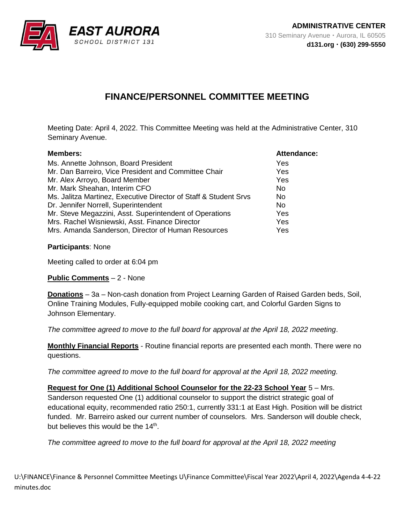

## **FINANCE/PERSONNEL COMMITTEE MEETING**

Meeting Date: April 4, 2022. This Committee Meeting was held at the Administrative Center, 310 Seminary Avenue.

| <b>Members:</b>                                                  | <b>Attendance:</b> |
|------------------------------------------------------------------|--------------------|
| Ms. Annette Johnson, Board President                             | Yes                |
| Mr. Dan Barreiro, Vice President and Committee Chair             | Yes                |
| Mr. Alex Arroyo, Board Member                                    | Yes                |
| Mr. Mark Sheahan, Interim CFO                                    | No.                |
| Ms. Jalitza Martinez, Executive Director of Staff & Student Srvs | No.                |
| Dr. Jennifer Norrell, Superintendent                             | No.                |
| Mr. Steve Megazzini, Asst. Superintendent of Operations          | Yes                |
| Mrs. Rachel Wisniewski, Asst. Finance Director                   | Yes                |
| Mrs. Amanda Sanderson, Director of Human Resources               | Yes                |

## **Participants**: None

Meeting called to order at 6:04 pm

**Public Comments** – 2 - None

**Donations** – 3a – Non-cash donation from Project Learning Garden of Raised Garden beds, Soil, Online Training Modules, Fully-equipped mobile cooking cart, and Colorful Garden Signs to Johnson Elementary.

*The committee agreed to move to the full board for approval at the April 18, 2022 meeting*.

**Monthly Financial Reports** - Routine financial reports are presented each month. There were no questions.

*The committee agreed to move to the full board for approval at the April 18, 2022 meeting.*

**Request for One (1) Additional School Counselor for the 22-23 School Year** 5 – Mrs. Sanderson requested One (1) additional counselor to support the district strategic goal of educational equity, recommended ratio 250:1, currently 331:1 at East High. Position will be district funded. Mr. Barreiro asked our current number of counselors. Mrs. Sanderson will double check, but believes this would be the 14<sup>th</sup>.

*The committee agreed to move to the full board for approval at the April 18, 2022 meeting*

U:\FINANCE\Finance & Personnel Committee Meetings U\Finance Committee\Fiscal Year 2022\April 4, 2022\Agenda 4-4-22 minutes.doc